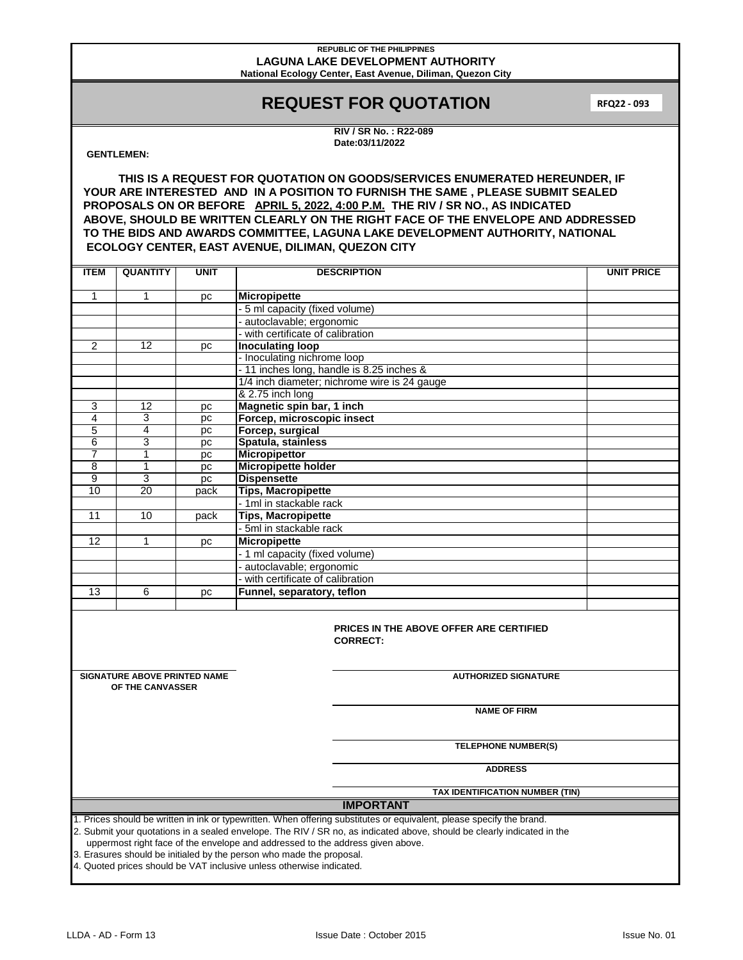#### **REPUBLIC OF THE PHILIPPINES LAGUNA LAKE DEVELOPMENT AUTHORITY National Ecology Center, East Avenue, Diliman, Quezon City**

# **REQUEST FOR QUOTATION**

**RFQ22 - 093**

**RIV / SR No. : R22-089 Date:03/11/2022**

### **GENTLEMEN:**

**THIS IS A REQUEST FOR QUOTATION ON GOODS/SERVICES ENUMERATED HEREUNDER, IF YOUR ARE INTERESTED AND IN A POSITION TO FURNISH THE SAME , PLEASE SUBMIT SEALED PROPOSALS ON OR BEFORE APRIL 5, 2022, 4:00 P.M. THE RIV / SR NO., AS INDICATED ABOVE, SHOULD BE WRITTEN CLEARLY ON THE RIGHT FACE OF THE ENVELOPE AND ADDRESSED TO THE BIDS AND AWARDS COMMITTEE, LAGUNA LAKE DEVELOPMENT AUTHORITY, NATIONAL ECOLOGY CENTER, EAST AVENUE, DILIMAN, QUEZON CITY**

| <b>ITEM</b>                                                                                                                                                                                                                                                                       | <b>QUANTITY</b>                                         | <b>UNIT</b>    | <b>DESCRIPTION</b>                           | <b>UNIT PRICE</b> |  |  |  |
|-----------------------------------------------------------------------------------------------------------------------------------------------------------------------------------------------------------------------------------------------------------------------------------|---------------------------------------------------------|----------------|----------------------------------------------|-------------------|--|--|--|
| $\mathbf{1}$                                                                                                                                                                                                                                                                      | 1                                                       | pc             | <b>Micropipette</b>                          |                   |  |  |  |
|                                                                                                                                                                                                                                                                                   |                                                         |                | - 5 ml capacity (fixed volume)               |                   |  |  |  |
|                                                                                                                                                                                                                                                                                   |                                                         |                | autoclavable; ergonomic                      |                   |  |  |  |
|                                                                                                                                                                                                                                                                                   |                                                         |                | with certificate of calibration              |                   |  |  |  |
| 2                                                                                                                                                                                                                                                                                 | 12                                                      | pc             | <b>Inoculating loop</b>                      |                   |  |  |  |
|                                                                                                                                                                                                                                                                                   |                                                         |                | - Inoculating nichrome loop                  |                   |  |  |  |
|                                                                                                                                                                                                                                                                                   |                                                         |                | - 11 inches long, handle is 8.25 inches &    |                   |  |  |  |
|                                                                                                                                                                                                                                                                                   |                                                         |                | 1/4 inch diameter; nichrome wire is 24 gauge |                   |  |  |  |
|                                                                                                                                                                                                                                                                                   |                                                         |                | & 2.75 inch long                             |                   |  |  |  |
| 3                                                                                                                                                                                                                                                                                 | 12                                                      | рc             | Magnetic spin bar, 1 inch                    |                   |  |  |  |
| 4                                                                                                                                                                                                                                                                                 | 3                                                       | рc             | Forcep, microscopic insect                   |                   |  |  |  |
| 5                                                                                                                                                                                                                                                                                 | 4                                                       | pc             | Forcep, surgical                             |                   |  |  |  |
| 6                                                                                                                                                                                                                                                                                 | 3                                                       | рc             | Spatula, stainless                           |                   |  |  |  |
| $\overline{7}$                                                                                                                                                                                                                                                                    | $\overline{1}$                                          | pc             | <b>Micropipettor</b>                         |                   |  |  |  |
| 8                                                                                                                                                                                                                                                                                 | 1                                                       | рc             | <b>Micropipette holder</b>                   |                   |  |  |  |
| 9                                                                                                                                                                                                                                                                                 | 3                                                       | рc             | <b>Dispensette</b>                           |                   |  |  |  |
| 10                                                                                                                                                                                                                                                                                | $\overline{20}$                                         | pack           | <b>Tips, Macropipette</b>                    |                   |  |  |  |
|                                                                                                                                                                                                                                                                                   |                                                         |                | - 1ml in stackable rack                      |                   |  |  |  |
| 11                                                                                                                                                                                                                                                                                | 10                                                      | pack           | <b>Tips, Macropipette</b>                    |                   |  |  |  |
|                                                                                                                                                                                                                                                                                   |                                                         |                | 5ml in stackable rack                        |                   |  |  |  |
| 12                                                                                                                                                                                                                                                                                | 1                                                       | рc             | <b>Micropipette</b>                          |                   |  |  |  |
|                                                                                                                                                                                                                                                                                   |                                                         |                | - 1 ml capacity (fixed volume)               |                   |  |  |  |
|                                                                                                                                                                                                                                                                                   |                                                         |                | autoclavable; ergonomic                      |                   |  |  |  |
|                                                                                                                                                                                                                                                                                   |                                                         |                | with certificate of calibration              |                   |  |  |  |
| 13                                                                                                                                                                                                                                                                                | 6                                                       | рc             | Funnel, separatory, teflon                   |                   |  |  |  |
|                                                                                                                                                                                                                                                                                   |                                                         |                |                                              |                   |  |  |  |
| <b>PRICES IN THE ABOVE OFFER ARE CERTIFIED</b><br><b>CORRECT:</b>                                                                                                                                                                                                                 |                                                         |                |                                              |                   |  |  |  |
|                                                                                                                                                                                                                                                                                   | <b>SIGNATURE ABOVE PRINTED NAME</b><br>OF THE CANVASSER |                | <b>AUTHORIZED SIGNATURE</b>                  |                   |  |  |  |
|                                                                                                                                                                                                                                                                                   |                                                         |                | <b>NAME OF FIRM</b>                          |                   |  |  |  |
|                                                                                                                                                                                                                                                                                   |                                                         |                | <b>TELEPHONE NUMBER(S)</b>                   |                   |  |  |  |
|                                                                                                                                                                                                                                                                                   |                                                         | <b>ADDRESS</b> |                                              |                   |  |  |  |
| TAX IDENTIFICATION NUMBER (TIN)                                                                                                                                                                                                                                                   |                                                         |                |                                              |                   |  |  |  |
| <b>IMPORTANT</b>                                                                                                                                                                                                                                                                  |                                                         |                |                                              |                   |  |  |  |
| 1. Prices should be written in ink or typewritten. When offering substitutes or equivalent, please specify the brand.                                                                                                                                                             |                                                         |                |                                              |                   |  |  |  |
| 2. Submit your quotations in a sealed envelope. The RIV / SR no, as indicated above, should be clearly indicated in the<br>uppermost right face of the envelope and addressed to the address given above.<br>3. Erasures should be initialed by the person who made the proposal. |                                                         |                |                                              |                   |  |  |  |

4. Quoted prices should be VAT inclusive unless otherwise indicated.